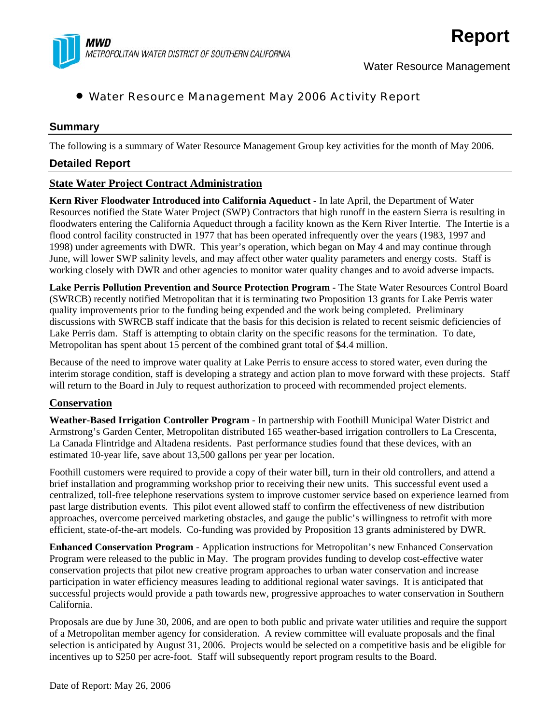

# • Water Resource Management May 2006 Activity Report

### **Summary**

The following is a summary of Water Resource Management Group key activities for the month of May 2006.

#### **Detailed Report**

## **State Water Project Contract Administration**

**Kern River Floodwater Introduced into California Aqueduct** - In late April, the Department of Water Resources notified the State Water Project (SWP) Contractors that high runoff in the eastern Sierra is resulting in floodwaters entering the California Aqueduct through a facility known as the Kern River Intertie. The Intertie is a flood control facility constructed in 1977 that has been operated infrequently over the years (1983, 1997 and 1998) under agreements with DWR. This year's operation, which began on May 4 and may continue through June, will lower SWP salinity levels, and may affect other water quality parameters and energy costs. Staff is working closely with DWR and other agencies to monitor water quality changes and to avoid adverse impacts.

**Lake Perris Pollution Prevention and Source Protection Program** - The State Water Resources Control Board (SWRCB) recently notified Metropolitan that it is terminating two Proposition 13 grants for Lake Perris water quality improvements prior to the funding being expended and the work being completed. Preliminary discussions with SWRCB staff indicate that the basis for this decision is related to recent seismic deficiencies of Lake Perris dam. Staff is attempting to obtain clarity on the specific reasons for the termination. To date, Metropolitan has spent about 15 percent of the combined grant total of \$4.4 million.

Because of the need to improve water quality at Lake Perris to ensure access to stored water, even during the interim storage condition, staff is developing a strategy and action plan to move forward with these projects. Staff will return to the Board in July to request authorization to proceed with recommended project elements.

#### **Conservation**

**Weather-Based Irrigation Controller Program** - In partnership with Foothill Municipal Water District and Armstrong's Garden Center, Metropolitan distributed 165 weather-based irrigation controllers to La Crescenta, La Canada Flintridge and Altadena residents. Past performance studies found that these devices, with an estimated 10-year life, save about 13,500 gallons per year per location.

Foothill customers were required to provide a copy of their water bill, turn in their old controllers, and attend a brief installation and programming workshop prior to receiving their new units. This successful event used a centralized, toll-free telephone reservations system to improve customer service based on experience learned from past large distribution events. This pilot event allowed staff to confirm the effectiveness of new distribution approaches, overcome perceived marketing obstacles, and gauge the public's willingness to retrofit with more efficient, state-of-the-art models. Co-funding was provided by Proposition 13 grants administered by DWR.

**Enhanced Conservation Program** - Application instructions for Metropolitan's new Enhanced Conservation Program were released to the public in May. The program provides funding to develop cost-effective water conservation projects that pilot new creative program approaches to urban water conservation and increase participation in water efficiency measures leading to additional regional water savings. It is anticipated that successful projects would provide a path towards new, progressive approaches to water conservation in Southern California.

Proposals are due by June 30, 2006, and are open to both public and private water utilities and require the support of a Metropolitan member agency for consideration. A review committee will evaluate proposals and the final selection is anticipated by August 31, 2006. Projects would be selected on a competitive basis and be eligible for incentives up to \$250 per acre-foot. Staff will subsequently report program results to the Board.